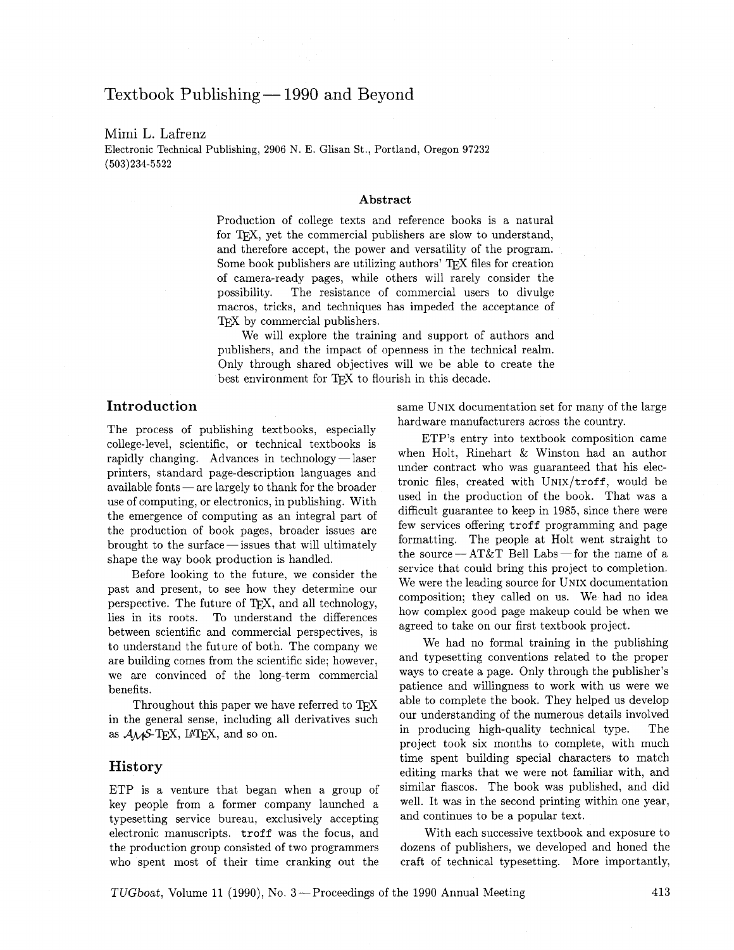# Textbook Publishing - 1990 and Beyond

### Mimi L. Lafrenz

Electronic Technical Publishing, **2906** N. E. Glisan St., Portland, Oregon **97232 (503)234-5522** 

#### **Abstract**

Production of college texts and reference books is a natural for T<sub>F</sub>X, yet the commercial publishers are slow to understand, and therefore accept, the power and versatility of the program. Some book publishers are utilizing authors' TFX files for creation of camera-ready pages, while others will rarely consider the possibility. The resistance of commercial users to divulge macros, tricks, and techniques has impeded the acceptance of TFX by commercial publishers.

We will explore the training and support of authors and publishers, and the impact of openness in the technical realm. Only through shared objectives will we be able to create the best environment for TFX to flourish in this decade.

## **Introduction**

The process of publishing textbooks, especially The process of publishing textbooks, especially<br>college-level, scientific, or technical textbooks is<br>rapidly changing. Advances in technology—laser printers, standard page-description languages and rapidly changing. Advances in technology—laser<br>printers, standard page-description languages and<br>available fonts — are largely to thank for the broader use of computing, or electronics, in publishing. With the emergence of computing as an integral part of the emergence of computing as an integral part of<br>the production of book pages, broader issues are<br>brought to the surface — issues that will ultimately<br>change the way book production is bandled shape the way book production is handled.

Eefore looking to the future, we consider the past and present, to see how they determine our perspective. The future of TFX, and all technology, lies in its roots. To understand the differences between scientific and commercial perspectives, is to understand the future of both. The company we are building comes from the scientific side; however, we are convinced of the long-term commercial benefits.

Throughout this paper we have referred to TFX in the general sense, including all derivatives such as  $A_{\mathcal{M}}S$ -T<sub>E</sub>X, IAT<sub>E</sub>X, and so on.

#### **History**

ETP is a venture that began when a group of key people from a former company launched a typesetting service bureau, exclusively accepting electronic manuscripts. troff was the focus, and the production group consisted of two programmers who spent most of their time cranking out the same UNIX documentation set for many of the large hardware manufacturers across the country.

ETP's entry into textbook composition came when Holt, Rinehart & Winston had an author under contract who was guaranteed that his electronic files, created with  $UNIX/troff$ , would be used in the production of the book. That was a difficult guarantee to keep in 1985, since there were few services offering troff programming and page formatting. The people at Holt went straight to<br>the source — AT&T Bell Labs — for the name of a<br>comics that sould bring this preject to completion service that could bring this project to completion. We were the leading source for UNIX documentation composition; they called on us. We had no idea how complex good page makeup could be when we agreed to take on our first textbook project.

We had no formal training in the publishing and typesetting conventions related to the proper ways to create a page. Only through the publisher's patience and willingness to work with us were we able to complete the book. They helped us develop our understanding of the numerous details involved in producing high-quality technical type. The project took six months to complete, with much time spent building special characters to match editing marks that we were not familiar with, and similar fiascos. The book was published, and did well. It was in the second printing within one year, and continues to be a popular text.

With each successive textbook and exposure to dozens of publishers, we developed and honed the craft of technical typesetting. More importantly,

TUGboat, Volume 11 (1990), No. **3** -Proceedings of the 1990 Annual Meeting **413**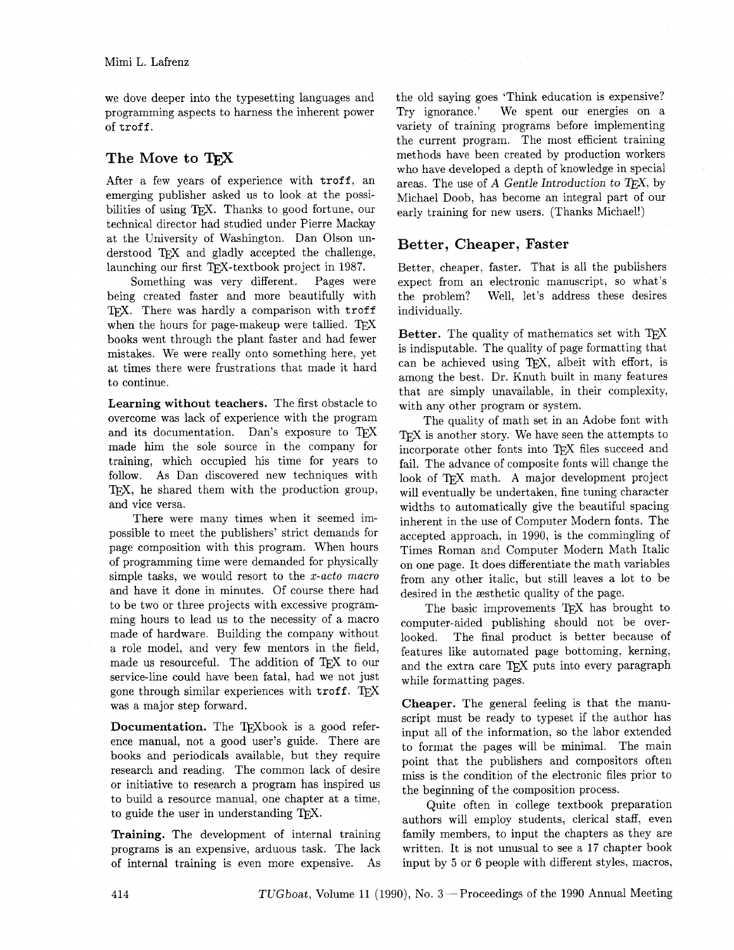we dove deeper into the typesetting languages and programming aspects to harness the inherent power of troff.

# **The Move to**

After a few years of experience with troff, an emerging publisher asked us to look at the possibilities of using T<sub>F</sub>X. Thanks to good fortune, our technical director had studied under Pierre Mackay at the University of Washington. Dan Olson understood TFX and gladly accepted the challenge, launching our first TFX-textbook project in 1987.

Something was very different. Pages were being created faster and more beautifully with TFX. There was hardly a comparison with troff when the hours for page-makeup were tallied. TFX books went through the plant faster and had fewer mistakes. We were really onto something here, yet at times there were frustrations that made it hard to continue.

**Learning without teachers.** The first obstacle to overcome was lack of experience with the program and its documentation. Dan's exposure to TEX made him the sole source in the company for training, which occupied his time for years to follow. As Dan discovered new techniques with TFX, he shared them with the production group, and vice versa.

There were many times when it seemed impossible to meet the publishers' strict demands for page composition with this program. When hours of programming time were demanded for physically simple tasks, we would resort to the *x-act0 macro*  and have it done in minutes. Of course there had to be two or three projects with excessive programming hours to lead us to the necessity of a macro made of hardware. Building the company without a role model, and very few mentors in the field, made us resourceful. The addition of TFX to our service-line could have been fatal, had we not just gone through similar experiences with troff. TFX was a major step forward.

**Documentation.** The TEXbook is a good reference manual, not a good user's guide. There are books and periodicals available, but they require research and reading. The common lack of desire or initiative to research a program has inspired us to build a resource manual, one chapter at a time, to guide the user in understanding TFX.

**Training.** The development of internal training programs is an expensive, arduous task. The lack of internal training is even more expensive. As the old saying goes 'Think education is expensive? Try ignorance.' We spent our energies on a variety of training programs before implementing the current program. The most efficient training methods have been created by production workers who have developed a depth of knowledge in special areas. The use of  $A$  Gentle Introduction to T $\overline{F}X$ , by Michael Doob, has become an integral part of our early training for new users. (Thanks Michael!)

# **Better, Cheaper, Faster**

Better, cheaper, faster. That is all the publishers expect from an electronic manuscript, so what's the problem? Well, let's address these desires individually.

**Better.** The quality of mathematics set with TFX is indisputable. The quality of page formatting that can be achieved using TEX, albeit with effort, is among the best. Dr. Knuth built in many features that are simply unavailable, in their complexity, with any other program or system.

The quality of math set in an Adobe font with T<sub>EX</sub> is another story. We have seen the attempts to incorporate other fonts into TEX files succeed and fail. The advance of composite fonts will change the look of T<sub>F</sub>X math. A major development project will eventually be undertaken, fine tuning character widths to automatically give the beautiful spacing inherent in the use of Computer Modern fonts. The accepted approach, in 1990, is the commingling of Times Roman and Computer Modern Math Italic on one page. It does differentiate the math variables from any other italic, but still leaves a lot to be desired in the æsthetic quality of the page.

The basic improvements TFX has brought to computer-aided publishing should not be overlooked. The final product is better because of features like automated page bottoming, kerning, and the extra care TEX puts into every paragraph while formatting pages.

**Cheaper.** The general feeling is that the manuscript must be ready to typeset if the author has input all of the information, so the labor extended to format the pages will be minimal. The main point that the publishers and compositors often miss is the condition of the electronic files prior to the beginning of the composition process.

Quite often in college textbook preparation authors will employ students, clerical staff. even family members, to input the chapters as they are written. It is not unusual to see a 17 chapter book input by **5** or 6 people with different styles, macros,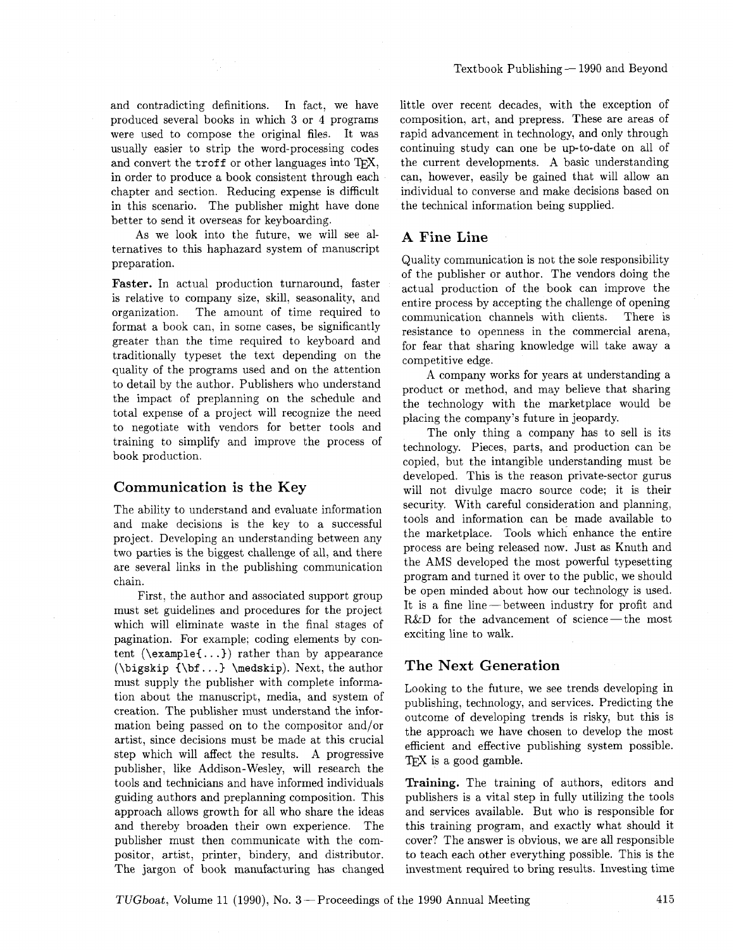and contradicting definitions. In fact, we have produced several books in which **3** or 4 programs were used to compose the original files. It was usually easier to strip the word-processing codes and convert the **troff** or other languages into TFX, in order to produce a book consistent through each chapter and section. Reducing expense is difficult in this scenario. The publisher might have done better to send it overseas for keyboarding.

As we look into the future, we will see alternatives to this haphazard system of manuscript preparation.

**Faster.** In actual production turnaround, faster is relative to company size, skill, seasonality, and organization. The amount of time required to format a book can, in some cases, be significantly greater than the time required to keyboard and traditionally typeset the text depending on the quality of the programs used and on the attention to detail by the author. Publishers who understand the impact of preplanning on the schedule and total expense of a project will recognize the need to negotiate with vendors for better tools and training to simplify and improve the process of book production.

#### **Communication is the Key**

The ability to understand and evaluate information and make decisions is the key to a successful project. Developing an understanding between any two parties is the biggest challenge of all, and there are several links in the publishing communication chain.

First, the author and associated support group must set guidelines and procedures for the project which will eliminate waste in the final stages of pagination. For example; coding elements by content **(\example{.** . . )) rather than by appearance **(\bigskip {\bf..** .) **\medskip).** Next, the author must supply the publisher with complete information about the manuscript, media, and system of creation. The publisher must understand the information being passed on to the compositor and/or artist, since decisions must be made at this crucial step which will affect the results. A progressive publisher, like Addison-Wesley, will research the tools and technicians and have informed individuals guiding authors and preplanning composition. This approach allows growth for all who share the ideas and thereby broaden their own experience. The publisher must then communicate with the compositor, artist, printer, bindery, and distributor. The jargon of book manufacturing has changed little over recent decades, with the exception of composition, art, and prepress. These are areas of rapid advancement in technology, and only through continuing study can one be up-to-date on all of the current developments. **A** basic understanding can, however, easily be gained that will allow an individual to converse and make decisions based on the technical information being supplied.

# **A Fine Line**

Quality communication is not the sole responsibility of the publisher or author. The vendors doing the actual production of the book can improve the entire process by accepting the challenge of opening communication channels with clients. There is resistance to openness in the commercial arena, for fear that sharing knowledge will take away a competitive edge.

A company works for years at understanding a product or method, and may believe that sharing the technology with the marketplace would be placing the company's future in jeopardy.

The only thing a company has to sell is its technology. Pieces, parts, and production can be copied, but the intangible understanding must be developed. This is the reason private-sector gurus will not divulge macro source code; it is their security. With careful consideration and planning, tools and information can be made available to the marketplace. Tools which enhance the entire process are being released now. Just as Knuth and the AMS developed the most powerful typesetting program and turned it over to the public, we should be open minded about how our technology is used. It is a fine line  $-$  between industry for profit and R&D for the advancement of science-the most exciting line to walk.

### **The Next Generation**

Looking to the future, we see trends developing in publishing, technology, and services. Predicting the outcome of developing trends is risky, but this is the approach we have chosen to develop the most efficient and effective publishing system possible. TFX is a good gamble.

**Training.** The training of authors, editors and publishers is a vital step in fully utilizing the tools and services available. But who is responsible for this training program, and exactly what should it cover? The answer is obvious. we are all responsible to teach each other everything possible. This is the investment required to bring results. Investing time

TUGboat, Volume 11 (1990), No. 3-Proceedings of the 1990 Annual Meeting 415